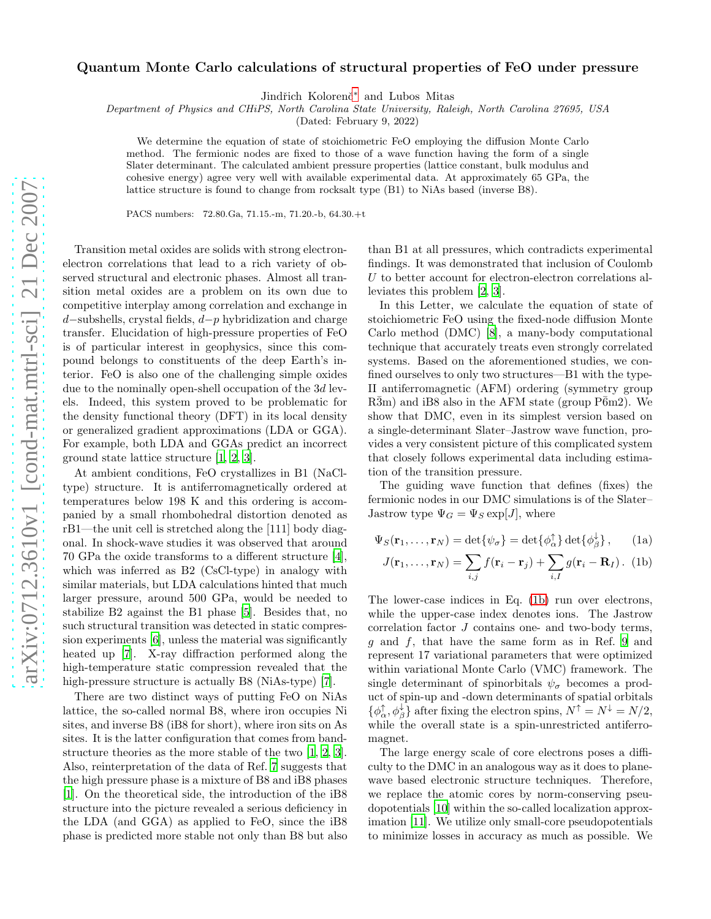## Quantum Monte Carlo calculations of structural properties of FeO under pressure

Jindřich Kolorenč<sup>[∗](#page-3-0)</sup> and Lubos Mitas

Department of Physics and CHiPS, North Carolina State University, Raleigh, North Carolina 27695, USA

(Dated: February 9, 2022)

We determine the equation of state of stoichiometric FeO employing the diffusion Monte Carlo method. The fermionic nodes are fixed to those of a wave function having the form of a single Slater determinant. The calculated ambient pressure properties (lattice constant, bulk modulus and cohesive energy) agree very well with available experimental data. At approximately 65 GPa, the lattice structure is found to change from rocksalt type (B1) to NiAs based (inverse B8).

PACS numbers: 72.80.Ga, 71.15.-m, 71.20.-b, 64.30.+t

Transition metal oxides are solids with strong electronelectron correlations that lead to a rich variety of observed structural and electronic phases. Almost all transition metal oxides are a problem on its own due to competitive interplay among correlation and exchange in d−subshells, crystal fields, d−p hybridization and charge transfer. Elucidation of high-pressure properties of FeO is of particular interest in geophysics, since this compound belongs to constituents of the deep Earth's interior. FeO is also one of the challenging simple oxides due to the nominally open-shell occupation of the 3d levels. Indeed, this system proved to be problematic for the density functional theory (DFT) in its local density or generalized gradient approximations (LDA or GGA). For example, both LDA and GGAs predict an incorrect ground state lattice structure [\[1](#page-3-1), [2](#page-3-2), [3](#page-3-3)].

At ambient conditions, FeO crystallizes in B1 (NaCltype) structure. It is antiferromagnetically ordered at temperatures below 198 K and this ordering is accompanied by a small rhombohedral distortion denoted as rB1—the unit cell is stretched along the [111] body diagonal. In shock-wave studies it was observed that around 70 GPa the oxide transforms to a different structure [\[4\]](#page-3-4), which was inferred as B2 (CsCl-type) in analogy with similar materials, but LDA calculations hinted that much larger pressure, around 500 GPa, would be needed to stabilize B2 against the B1 phase [\[5\]](#page-3-5). Besides that, no such structural transition was detected in static compression experiments [\[6\]](#page-3-6), unless the material was significantly heated up [\[7\]](#page-3-7). X-ray diffraction performed along the high-temperature static compression revealed that the high-pressure structure is actually B8 (NiAs-type) [\[7\]](#page-3-7).

There are two distinct ways of putting FeO on NiAs lattice, the so-called normal B8, where iron occupies Ni sites, and inverse B8 (iB8 for short), where iron sits on As sites. It is the latter configuration that comes from bandstructure theories as the more stable of the two [\[1,](#page-3-1) [2,](#page-3-2) [3\]](#page-3-3). Also, reinterpretation of the data of Ref. [7](#page-3-7) suggests that the high pressure phase is a mixture of B8 and iB8 phases [\[1\]](#page-3-1). On the theoretical side, the introduction of the iB8 structure into the picture revealed a serious deficiency in the LDA (and GGA) as applied to FeO, since the iB8 phase is predicted more stable not only than B8 but also

than B1 at all pressures, which contradicts experimental findings. It was demonstrated that inclusion of Coulomb U to better account for electron-electron correlations alleviates this problem [\[2,](#page-3-2) [3\]](#page-3-3).

In this Letter, we calculate the equation of state of stoichiometric FeO using the fixed-node diffusion Monte Carlo method (DMC) [\[8\]](#page-3-8), a many-body computational technique that accurately treats even strongly correlated systems. Based on the aforementioned studies, we confined ourselves to only two structures—B1 with the type-II antiferromagnetic (AFM) ordering (symmetry group  $R\bar{3}m$ ) and iB8 also in the AFM state (group  $\bar{P6}m2$ ). We show that DMC, even in its simplest version based on a single-determinant Slater–Jastrow wave function, provides a very consistent picture of this complicated system that closely follows experimental data including estimation of the transition pressure.

The guiding wave function that defines (fixes) the fermionic nodes in our DMC simulations is of the Slater– Jastrow type  $\Psi_G = \Psi_S \exp[J]$ , where

$$
\Psi_S(\mathbf{r}_1,\ldots,\mathbf{r}_N) = \det\{\psi_\sigma\} = \det\{\phi_\alpha^\uparrow\} \det\{\phi_\beta^\downarrow\},\qquad(1a)
$$

<span id="page-0-1"></span><span id="page-0-0"></span>
$$
J(\mathbf{r}_1,\ldots,\mathbf{r}_N)=\sum_{i,j}f(\mathbf{r}_i-\mathbf{r}_j)+\sum_{i,I}g(\mathbf{r}_i-\mathbf{R}_I).
$$
 (1b)

The lower-case indices in Eq. [\(1b\)](#page-0-0) run over electrons, while the upper-case index denotes ions. The Jastrow correlation factor J contains one- and two-body terms, g and f, that have the same form as in Ref. [9](#page-3-9) and represent 17 variational parameters that were optimized within variational Monte Carlo (VMC) framework. The single determinant of spinorbitals  $\psi_{\sigma}$  becomes a product of spin-up and -down determinants of spatial orbitals  $\{\phi_{\alpha}^{\uparrow}, \phi_{\beta}^{\downarrow}\}\$  after fixing the electron spins,  $N^{\uparrow} = N^{\downarrow} = N/2$ , while the overall state is a spin-unrestricted antiferromagnet.

The large energy scale of core electrons poses a difficulty to the DMC in an analogous way as it does to planewave based electronic structure techniques. Therefore, we replace the atomic cores by norm-conserving pseudopotentials [\[10\]](#page-3-10) within the so-called localization approximation [\[11\]](#page-3-11). We utilize only small-core pseudopotentials to minimize losses in accuracy as much as possible. We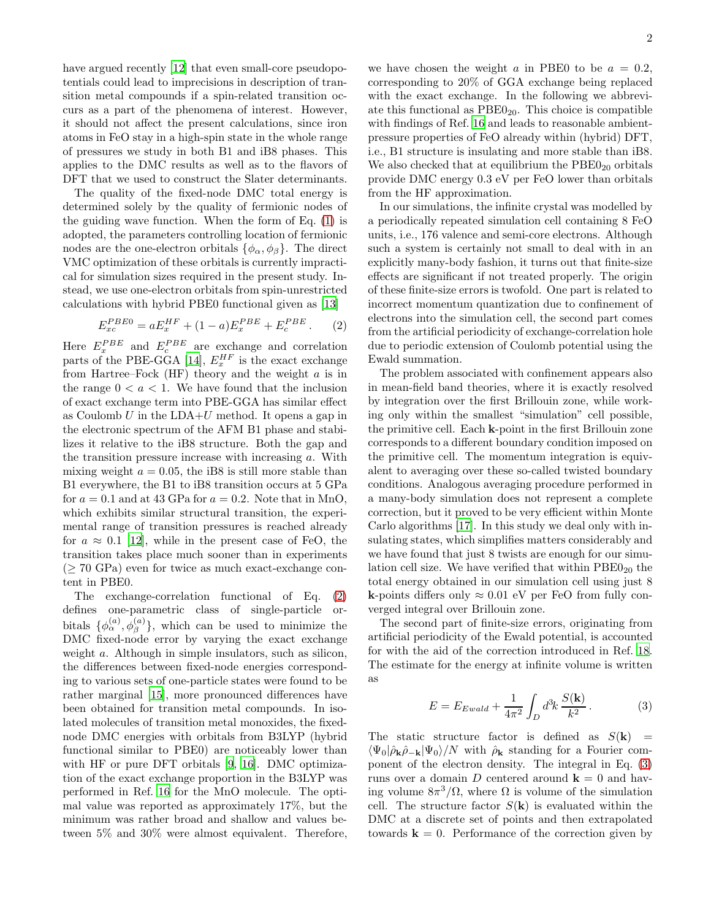have argued recently [\[12\]](#page-3-12) that even small-core pseudopotentials could lead to imprecisions in description of transition metal compounds if a spin-related transition occurs as a part of the phenomena of interest. However, it should not affect the present calculations, since iron atoms in FeO stay in a high-spin state in the whole range of pressures we study in both B1 and iB8 phases. This applies to the DMC results as well as to the flavors of DFT that we used to construct the Slater determinants.

The quality of the fixed-node DMC total energy is determined solely by the quality of fermionic nodes of the guiding wave function. When the form of Eq. [\(1\)](#page-0-1) is adopted, the parameters controlling location of fermionic nodes are the one-electron orbitals  $\{\phi_{\alpha}, \phi_{\beta}\}.$  The direct VMC optimization of these orbitals is currently impractical for simulation sizes required in the present study. Instead, we use one-electron orbitals from spin-unrestricted calculations with hybrid PBE0 functional given as [\[13](#page-3-13)]

<span id="page-1-0"></span>
$$
E_{xc}^{PBE0} = aE_x^{HF} + (1 - a)E_x^{PBE} + E_c^{PBE}.
$$
 (2)

Here  $E_x^{PBE}$  and  $E_c^{PBE}$  are exchange and correlation parts of the PBE-GGA [\[14\]](#page-3-14),  $E_x^{HF}$  is the exact exchange from Hartree–Fock  $(HF)$  theory and the weight  $a$  is in the range  $0 < a < 1$ . We have found that the inclusion of exact exchange term into PBE-GGA has similar effect as Coulomb  $U$  in the LDA+ $U$  method. It opens a gap in the electronic spectrum of the AFM B1 phase and stabilizes it relative to the iB8 structure. Both the gap and the transition pressure increase with increasing  $a$ . With mixing weight  $a = 0.05$ , the iB8 is still more stable than B1 everywhere, the B1 to iB8 transition occurs at 5 GPa for  $a = 0.1$  and at 43 GPa for  $a = 0.2$ . Note that in MnO, which exhibits similar structural transition, the experimental range of transition pressures is reached already for  $a \approx 0.1$  [\[12](#page-3-12)], while in the present case of FeO, the transition takes place much sooner than in experiments  $($   $\geq$  70 GPa) even for twice as much exact-exchange content in PBE0.

The exchange-correlation functional of Eq. [\(2\)](#page-1-0) defines one-parametric class of single-particle orbitals  $\{\phi_{\alpha}^{(a)}, \phi_{\beta}^{(a)}\}$ , which can be used to minimize the DMC fixed-node error by varying the exact exchange weight a. Although in simple insulators, such as silicon, the differences between fixed-node energies corresponding to various sets of one-particle states were found to be rather marginal [\[15\]](#page-3-15), more pronounced differences have been obtained for transition metal compounds. In isolated molecules of transition metal monoxides, the fixednode DMC energies with orbitals from B3LYP (hybrid functional similar to PBE0) are noticeably lower than with HF or pure DFT orbitals [\[9](#page-3-9), [16](#page-3-16)]. DMC optimization of the exact exchange proportion in the B3LYP was performed in Ref. [16](#page-3-16) for the MnO molecule. The optimal value was reported as approximately 17%, but the minimum was rather broad and shallow and values between 5% and 30% were almost equivalent. Therefore,

we have chosen the weight a in PBE0 to be  $a = 0.2$ , corresponding to 20% of GGA exchange being replaced with the exact exchange. In the following we abbreviate this functional as  $PBE0_{20}$ . This choice is compatible with findings of Ref. [16](#page-3-16) and leads to reasonable ambientpressure properties of FeO already within (hybrid) DFT, i.e., B1 structure is insulating and more stable than iB8. We also checked that at equilibrium the  $PBE0_{20}$  orbitals provide DMC energy 0.3 eV per FeO lower than orbitals from the HF approximation.

In our simulations, the infinite crystal was modelled by a periodically repeated simulation cell containing 8 FeO units, i.e., 176 valence and semi-core electrons. Although such a system is certainly not small to deal with in an explicitly many-body fashion, it turns out that finite-size effects are significant if not treated properly. The origin of these finite-size errors is twofold. One part is related to incorrect momentum quantization due to confinement of electrons into the simulation cell, the second part comes from the artificial periodicity of exchange-correlation hole due to periodic extension of Coulomb potential using the Ewald summation.

The problem associated with confinement appears also in mean-field band theories, where it is exactly resolved by integration over the first Brillouin zone, while working only within the smallest "simulation" cell possible, the primitive cell. Each k-point in the first Brillouin zone corresponds to a different boundary condition imposed on the primitive cell. The momentum integration is equivalent to averaging over these so-called twisted boundary conditions. Analogous averaging procedure performed in a many-body simulation does not represent a complete correction, but it proved to be very efficient within Monte Carlo algorithms [\[17](#page-3-17)]. In this study we deal only with insulating states, which simplifies matters considerably and we have found that just 8 twists are enough for our simulation cell size. We have verified that within  $PBE0_{20}$  the total energy obtained in our simulation cell using just 8 k-points differs only  $\approx 0.01$  eV per FeO from fully converged integral over Brillouin zone.

The second part of finite-size errors, originating from artificial periodicity of the Ewald potential, is accounted for with the aid of the correction introduced in Ref. [18](#page-3-18). The estimate for the energy at infinite volume is written as

<span id="page-1-1"></span>
$$
E = E_{Ewald} + \frac{1}{4\pi^2} \int_D d^3k \, \frac{S(\mathbf{k})}{k^2} \,. \tag{3}
$$

The static structure factor is defined as  $S(\mathbf{k}) =$  $\langle \Psi_0 | \hat{\rho}_{\bf k} \hat{\rho}_{-\bf k} | \Psi_0 \rangle / N$  with  $\hat{\rho}_{\bf k}$  standing for a Fourier component of the electron density. The integral in Eq. [\(3\)](#page-1-1) runs over a domain D centered around  $\mathbf{k} = 0$  and having volume  $8\pi^3/\Omega$ , where  $\Omega$  is volume of the simulation cell. The structure factor  $S(\mathbf{k})$  is evaluated within the DMC at a discrete set of points and then extrapolated towards  $\mathbf{k} = 0$ . Performance of the correction given by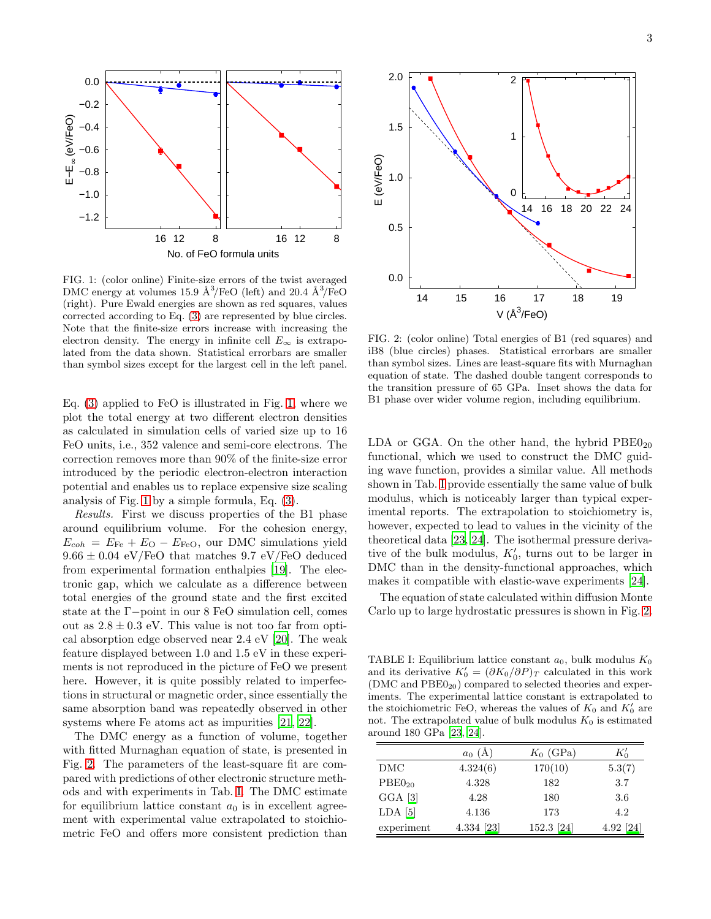

<span id="page-2-0"></span>FIG. 1: (color online) Finite-size errors of the twist averaged DMC energy at volumes 15.9  $\AA^3$ /FeO (left) and 20.4  $\AA^3$ /FeO (right). Pure Ewald energies are shown as red squares, values corrected according to Eq. [\(3\)](#page-1-1) are represented by blue circles. Note that the finite-size errors increase with increasing the electron density. The energy in infinite cell  $E_{\infty}$  is extrapolated from the data shown. Statistical errorbars are smaller than symbol sizes except for the largest cell in the left panel.

Eq. [\(3\)](#page-1-1) applied to FeO is illustrated in Fig. [1,](#page-2-0) where we plot the total energy at two different electron densities as calculated in simulation cells of varied size up to 16 FeO units, i.e., 352 valence and semi-core electrons. The correction removes more than 90% of the finite-size error introduced by the periodic electron-electron interaction potential and enables us to replace expensive size scaling analysis of Fig. [1](#page-2-0) by a simple formula, Eq. [\(3\)](#page-1-1).

Results. First we discuss properties of the B1 phase around equilibrium volume. For the cohesion energy,  $E_{coh} = E_{Fe} + E_{O} - E_{FeO}$ , our DMC simulations yield  $9.66 \pm 0.04$  eV/FeO that matches  $9.7$  eV/FeO deduced from experimental formation enthalpies [\[19\]](#page-3-19). The electronic gap, which we calculate as a difference between total energies of the ground state and the first excited state at the Γ−point in our 8 FeO simulation cell, comes out as  $2.8 \pm 0.3$  eV. This value is not too far from optical absorption edge observed near 2.4 eV [\[20](#page-3-20)]. The weak feature displayed between 1.0 and 1.5 eV in these experiments is not reproduced in the picture of FeO we present here. However, it is quite possibly related to imperfections in structural or magnetic order, since essentially the same absorption band was repeatedly observed in other systems where Fe atoms act as impurities [\[21](#page-3-21), [22](#page-3-22)].

The DMC energy as a function of volume, together with fitted Murnaghan equation of state, is presented in Fig. [2.](#page-2-1) The parameters of the least-square fit are compared with predictions of other electronic structure methods and with experiments in Tab. [I.](#page-2-2) The DMC estimate for equilibrium lattice constant  $a_0$  is in excellent agreement with experimental value extrapolated to stoichiometric FeO and offers more consistent prediction than



<span id="page-2-1"></span>FIG. 2: (color online) Total energies of B1 (red squares) and iB8 (blue circles) phases. Statistical errorbars are smaller than symbol sizes. Lines are least-square fits with Murnaghan equation of state. The dashed double tangent corresponds to the transition pressure of 65 GPa. Inset shows the data for B1 phase over wider volume region, including equilibrium.

LDA or GGA. On the other hand, the hybrid  $PBE0_{20}$ functional, which we used to construct the DMC guiding wave function, provides a similar value. All methods shown in Tab. [I](#page-2-2) provide essentially the same value of bulk modulus, which is noticeably larger than typical experimental reports. The extrapolation to stoichiometry is, however, expected to lead to values in the vicinity of the theoretical data [\[23,](#page-3-23) [24](#page-4-0)]. The isothermal pressure derivative of the bulk modulus,  $K'_0$ , turns out to be larger in DMC than in the density-functional approaches, which makes it compatible with elastic-wave experiments [\[24\]](#page-4-0).

The equation of state calculated within diffusion Monte Carlo up to large hydrostatic pressures is shown in Fig. [2.](#page-2-1)

<span id="page-2-2"></span>TABLE I: Equilibrium lattice constant  $a_0$ , bulk modulus  $K_0$ and its derivative  $K'_0 = (\partial K_0/\partial P)_T$  calculated in this work  $(DMC and PBE0<sub>20</sub>)$  compared to selected theories and experiments. The experimental lattice constant is extrapolated to the stoichiometric FeO, whereas the values of  $K_0$  and  $K'_0$  are not. The extrapolated value of bulk modulus  $K_0$  is estimated around 180 GPa [\[23,](#page-3-23) [24\]](#page-4-0).

|                    | $a_0$ (Å,  | $K_0$ (GPa) | $K_0'$    |
|--------------------|------------|-------------|-----------|
| DMC                | 4.324(6)   | 170(10)     | 5.3(7)    |
| PBE0 <sub>20</sub> | 4.328      | 182         | 3.7       |
| $GGA$ [3]          | 4.28       | 180         | 3.6       |
| $LDA$ [5]          | 4.136      | 173         | 4.2       |
| experiment         | 4.334 [23] | 152.3 [24]  | 4.92 [24] |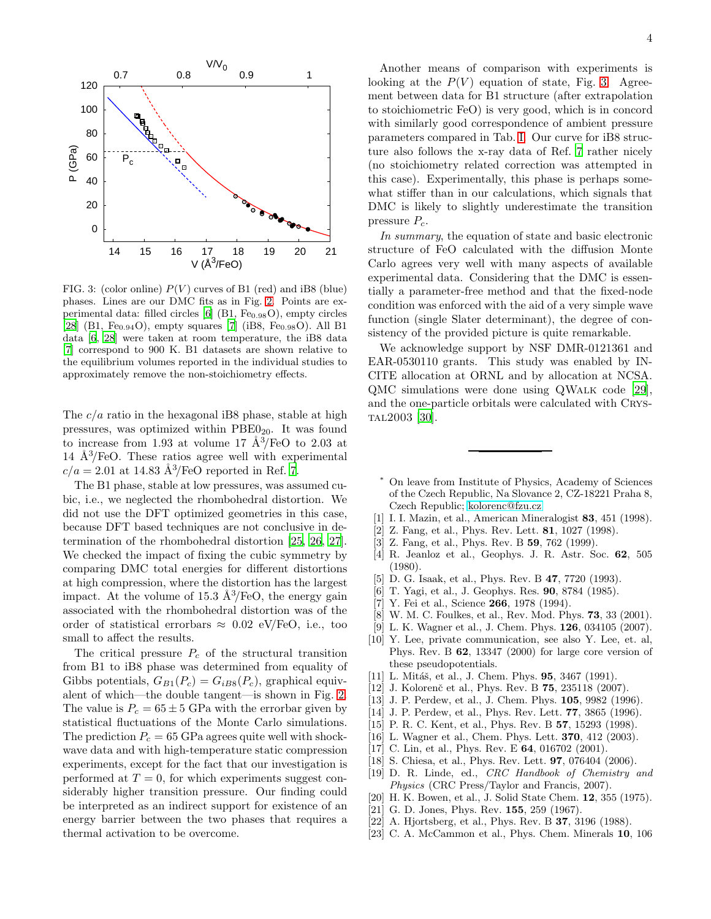

<span id="page-3-24"></span>FIG. 3: (color online)  $P(V)$  curves of B1 (red) and iB8 (blue) phases. Lines are our DMC fits as in Fig. [2.](#page-2-1) Points are experimental data: filled circles  $[6]$  (B1, Fe<sub>0.98</sub>O), empty circles [\[28\]](#page-4-1) (B1, Fe<sub>0.94</sub>O), empty squares [\[7](#page-3-7)] (iB8, Fe<sub>0.98</sub>O). All B1 data [\[6](#page-3-6), [28\]](#page-4-1) were taken at room temperature, the iB8 data [\[7](#page-3-7)] correspond to 900 K. B1 datasets are shown relative to the equilibrium volumes reported in the individual studies to approximately remove the non-stoichiometry effects.

The  $c/a$  ratio in the hexagonal iB8 phase, stable at high pressures, was optimized within  $PBE0_{20}$ . It was found to increase from 1.93 at volume 17  $\AA^3$ /FeO to 2.03 at 14  $\rm \AA^{3}/FeO$ . These ratios agree well with experimental  $c/a = 2.01$  at 14.83 Å<sup>3</sup>/FeO reported in Ref. [7](#page-3-7).

The B1 phase, stable at low pressures, was assumed cubic, i.e., we neglected the rhombohedral distortion. We did not use the DFT optimized geometries in this case, because DFT based techniques are not conclusive in determination of the rhombohedral distortion [\[25,](#page-4-2) [26](#page-4-3), [27\]](#page-4-4). We checked the impact of fixing the cubic symmetry by comparing DMC total energies for different distortions at high compression, where the distortion has the largest impact. At the volume of 15.3  $\rm \AA^3/FeO$ , the energy gain associated with the rhombohedral distortion was of the order of statistical errorbars  $\approx 0.02$  eV/FeO, i.e., too small to affect the results.

The critical pressure  $P_c$  of the structural transition from B1 to iB8 phase was determined from equality of Gibbs potentials,  $G_{B1}(P_c) = G_{iB8}(P_c)$ , graphical equivalent of which—the double tangent—is shown in Fig. [2.](#page-2-1) The value is  $P_c = 65 \pm 5$  GPa with the errorbar given by statistical fluctuations of the Monte Carlo simulations. The prediction  $P_c = 65$  GPa agrees quite well with shockwave data and with high-temperature static compression experiments, except for the fact that our investigation is performed at  $T = 0$ , for which experiments suggest considerably higher transition pressure. Our finding could be interpreted as an indirect support for existence of an energy barrier between the two phases that requires a thermal activation to be overcome.

Another means of comparison with experiments is looking at the  $P(V)$  equation of state, Fig. [3.](#page-3-24) Agreement between data for B1 structure (after extrapolation to stoichiometric FeO) is very good, which is in concord with similarly good correspondence of ambient pressure parameters compared in Tab. [I.](#page-2-2) Our curve for iB8 structure also follows the x-ray data of Ref. [7](#page-3-7) rather nicely (no stoichiometry related correction was attempted in this case). Experimentally, this phase is perhaps somewhat stiffer than in our calculations, which signals that DMC is likely to slightly underestimate the transition pressure  $P_c$ .

In summary, the equation of state and basic electronic structure of FeO calculated with the diffusion Monte Carlo agrees very well with many aspects of available experimental data. Considering that the DMC is essentially a parameter-free method and that the fixed-node condition was enforced with the aid of a very simple wave function (single Slater determinant), the degree of consistency of the provided picture is quite remarkable.

We acknowledge support by NSF DMR-0121361 and EAR-0530110 grants. This study was enabled by IN-CITE allocation at ORNL and by allocation at NCSA. QMC simulations were done using QWalk code [\[29\]](#page-4-5), and the one-particle orbitals were calculated with Crystal2003 [\[30\]](#page-4-6).

- <span id="page-3-0"></span><sup>∗</sup> On leave from Institute of Physics, Academy of Sciences of the Czech Republic, Na Slovance 2, CZ-18221 Praha 8, Czech Republic; [kolorenc@fzu.cz](mailto:kolorenc@fzu.cz)
- <span id="page-3-1"></span>[1] I. I. Mazin, et al., American Mineralogist 83, 451 (1998).
- <span id="page-3-2"></span>[2] Z. Fang, et al., Phys. Rev. Lett. 81, 1027 (1998).
- <span id="page-3-3"></span>[3] Z. Fang, et al., Phys. Rev. B **59**, 762 (1999).
- <span id="page-3-4"></span>[4] R. Jeanloz et al., Geophys. J. R. Astr. Soc. 62, 505 (1980).
- <span id="page-3-5"></span>[5] D. G. Isaak, et al., Phys. Rev. B 47, 7720 (1993).
- <span id="page-3-6"></span>[6] T. Yagi, et al., J. Geophys. Res. 90, 8784 (1985).
- <span id="page-3-7"></span>[7] Y. Fei et al., Science **266**, 1978 (1994).
- <span id="page-3-8"></span>[8] W. M. C. Foulkes, et al., Rev. Mod. Phys. 73, 33 (2001).
- <span id="page-3-9"></span>[9] L. K. Wagner et al., J. Chem. Phys. **126**, 034105 (2007).
- <span id="page-3-10"></span>[10] Y. Lee, private communication, see also Y. Lee, et. al, Phys. Rev. B 62, 13347 (2000) for large core version of these pseudopotentials.
- <span id="page-3-11"></span>[11] L. Mitáš, et al., J. Chem. Phys. 95, 3467 (1991).
- <span id="page-3-12"></span>[12] J. Kolorenč et al., Phys. Rev. B **75**, 235118 (2007).
- <span id="page-3-13"></span>[13] J. P. Perdew, et al., J. Chem. Phys. 105, 9982 (1996).
- <span id="page-3-14"></span>[14] J. P. Perdew, et al., Phys. Rev. Lett. 77, 3865 (1996).
- <span id="page-3-15"></span>[15] P. R. C. Kent, et al., Phys. Rev. B **57**, 15293 (1998).
- <span id="page-3-16"></span>[16] L. Wagner et al., Chem. Phys. Lett. **370**, 412 (2003).
- <span id="page-3-17"></span>[17] C. Lin, et al., Phys. Rev. E 64, 016702 (2001).
- <span id="page-3-18"></span>[18] S. Chiesa, et al., Phys. Rev. Lett. **97**, 076404 (2006).
- <span id="page-3-19"></span>[19] D. R. Linde, ed., CRC Handbook of Chemistry and Physics (CRC Press/Taylor and Francis, 2007).
- <span id="page-3-20"></span>[20] H. K. Bowen, et al., J. Solid State Chem. **12**, 355 (1975).
- <span id="page-3-21"></span>[21] G. D. Jones, Phys. Rev. **155**, 259 (1967).
- <span id="page-3-22"></span>[22] A. Hjortsberg, et al., Phys. Rev. B **37**, 3196 (1988).
- <span id="page-3-23"></span>[23] C. A. McCammon et al., Phys. Chem. Minerals 10, 106